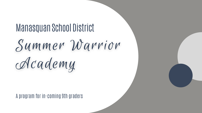A program for in-coming 9th graders

# Manasquan School DistrictSummer Warrior Academy

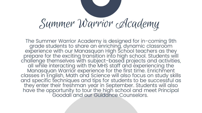The Summer Warrior Academy is designed for in-coming 9th grade students to share an enriching, dynamic classroom experience with our Manasquan High School teachers as they prepare for the exciting transition into high school. Students will challenge themselves with subject-based projects and activities, all while interacting with the MHS staff and experiencing the Manasquan Warrior experience for the first time. Enrichment classes in English, Math and Science will also focus on study skills and specific techniques and tips for students to be successful as they enter their freshman year in September. Students will also have the opportunity to tour the high school and meet Principal Goodall and our Guidance Counselors.

## Summer Warrior Academy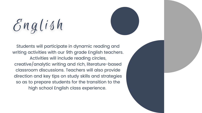$3nq$ lish

Students will participate in dynamic reading and writing activities with our 9th grade English teachers. Activities will include reading circles, creative/analytic writing and rich, literature-based classroom discussions. Teachers will also provide direction and key tips on study skills and strategies so as to prepare students for the transition to the high school English class experience.

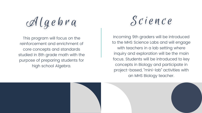## Algebra

This program will focus on the reinforcement and enrichment of core concepts and standards studied in 8th grade math with the purpose of preparing students for high school Algebra.

Incoming 9th graders will be introduced to the MHS Science Labs and will engage with teachers in a lab setting where inquiry and exploration will be the main focus. Students will be introduced to key concepts in Biology and participate in project-based, " mini-lab" activities with an MHS Biology teacher.



### Science